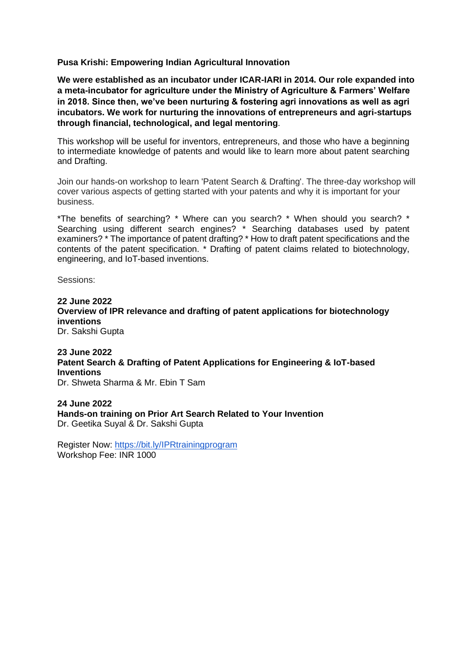**Pusa Krishi: Empowering Indian Agricultural Innovation**

**We were established as an incubator under ICAR-IARI in 2014. Our role expanded into a meta-incubator for agriculture under the Ministry of Agriculture & Farmers' Welfare in 2018. Since then, we've been nurturing & fostering agri innovations as well as agri incubators. We work for nurturing the innovations of entrepreneurs and agri-startups through financial, technological, and legal mentoring**.

This workshop will be useful for inventors, entrepreneurs, and those who have a beginning to intermediate knowledge of patents and would like to learn more about patent searching and Drafting.

Join our hands-on workshop to learn 'Patent Search & Drafting'. The three-day workshop will cover various aspects of getting started with your patents and why it is important for your business.

\*The benefits of searching? \* Where can you search? \* When should you search? \* Searching using different search engines? \* Searching databases used by patent examiners? \* The importance of patent drafting? \* How to draft patent specifications and the contents of the patent specification. \* Drafting of patent claims related to biotechnology, engineering, and IoT-based inventions.

Sessions:

**22 June 2022 Overview of IPR relevance and drafting of patent applications for biotechnology inventions** Dr. Sakshi Gupta

**23 June 2022 Patent Search & Drafting of Patent Applications for Engineering & IoT-based Inventions** Dr. Shweta Sharma & Mr. Ebin T Sam

**24 June 2022 Hands-on training on Prior Art Search Related to Your Invention** Dr. Geetika Suyal & Dr. Sakshi Gupta

Register Now:<https://bit.ly/IPRtrainingprogram> Workshop Fee: INR 1000